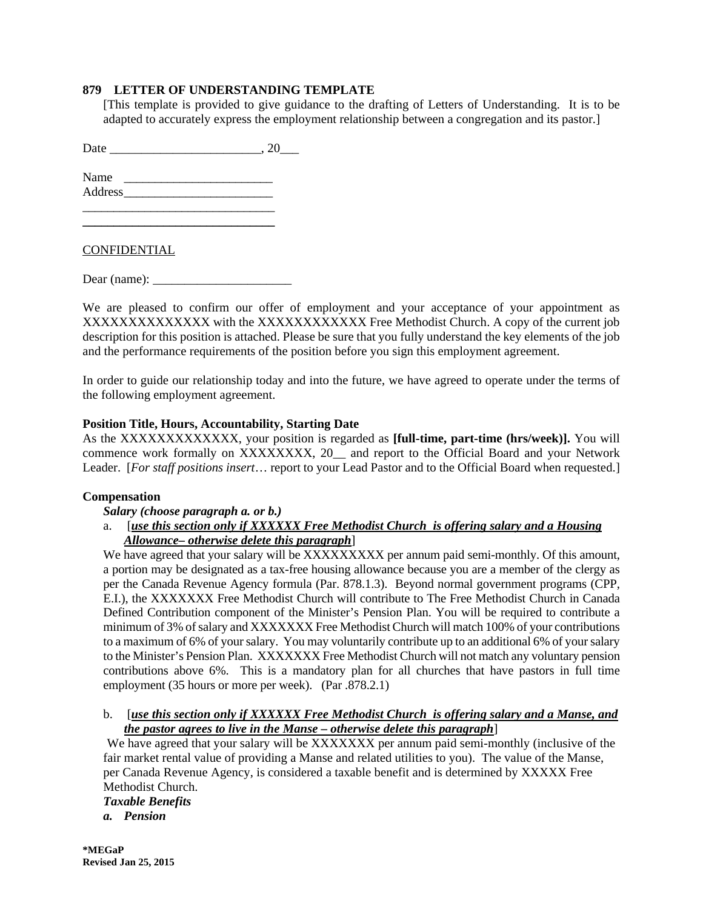## **879 LETTER OF UNDERSTANDING TEMPLATE**

[This template is provided to give guidance to the drafting of Letters of Understanding. It is to be adapted to accurately express the employment relationship between a congregation and its pastor.]

Date \_\_\_\_\_\_\_\_\_\_\_\_\_\_\_\_\_\_\_\_\_\_\_\_, 20\_\_\_

 $\mathcal{L}_\text{max}$  , and the set of the set of the set of the set of the set of the set of the set of the set of the set of the set of the set of the set of the set of the set of the set of the set of the set of the set of the **\_\_\_\_\_\_\_\_\_\_\_\_\_\_\_\_\_\_\_\_\_\_\_\_\_\_\_\_\_\_\_** 

Name \_\_\_\_\_\_\_\_\_\_\_\_\_\_\_\_\_\_\_\_\_\_\_\_ Address \_\_\_\_\_\_\_\_\_\_\_\_\_\_\_\_\_\_\_\_\_\_\_\_

CONFIDENTIAL

Dear (name): \_\_\_\_\_\_\_\_\_\_\_\_\_\_\_\_\_\_\_\_\_\_

We are pleased to confirm our offer of employment and your acceptance of your appointment as XXXXXXXXXXXXXXXX with the XXXXXXXXXXXXX Free Methodist Church. A copy of the current job description for this position is attached. Please be sure that you fully understand the key elements of the job and the performance requirements of the position before you sign this employment agreement.

In order to guide our relationship today and into the future, we have agreed to operate under the terms of the following employment agreement.

# **Position Title, Hours, Accountability, Starting Date**

As the XXXXXXXXXXXXX, your position is regarded as **[full-time, part-time (hrs/week)].** You will commence work formally on XXXXXXXX, 20\_ and report to the Official Board and your Network Leader. [*For staff positions insert*… report to your Lead Pastor and to the Official Board when requested.]

## **Compensation**

## *Salary (choose paragraph a. or b.)*

# a. [*use this section only if XXXXXX Free Methodist Church is offering salary and a Housing Allowance– otherwise delete this paragraph*]

We have agreed that your salary will be XXXXXXXXX per annum paid semi-monthly. Of this amount, a portion may be designated as a tax-free housing allowance because you are a member of the clergy as per the Canada Revenue Agency formula (Par. 878.1.3). Beyond normal government programs (CPP, E.I.), the XXXXXXX Free Methodist Church will contribute to The Free Methodist Church in Canada Defined Contribution component of the Minister's Pension Plan. You will be required to contribute a minimum of 3% of salary and XXXXXXX Free Methodist Church will match 100% of your contributions to a maximum of 6% of your salary. You may voluntarily contribute up to an additional 6% of your salary to the Minister's Pension Plan. XXXXXXX Free Methodist Church will not match any voluntary pension contributions above 6%. This is a mandatory plan for all churches that have pastors in full time employment (35 hours or more per week). (Par .878.2.1)

## b. [*use this section only if XXXXXX Free Methodist Church is offering salary and a Manse, and the pastor agrees to live in the Manse – otherwise delete this paragraph*]

We have agreed that your salary will be XXXXXXX per annum paid semi-monthly (inclusive of the fair market rental value of providing a Manse and related utilities to you). The value of the Manse, per Canada Revenue Agency, is considered a taxable benefit and is determined by XXXXX Free Methodist Church.

*Taxable Benefits a. Pension*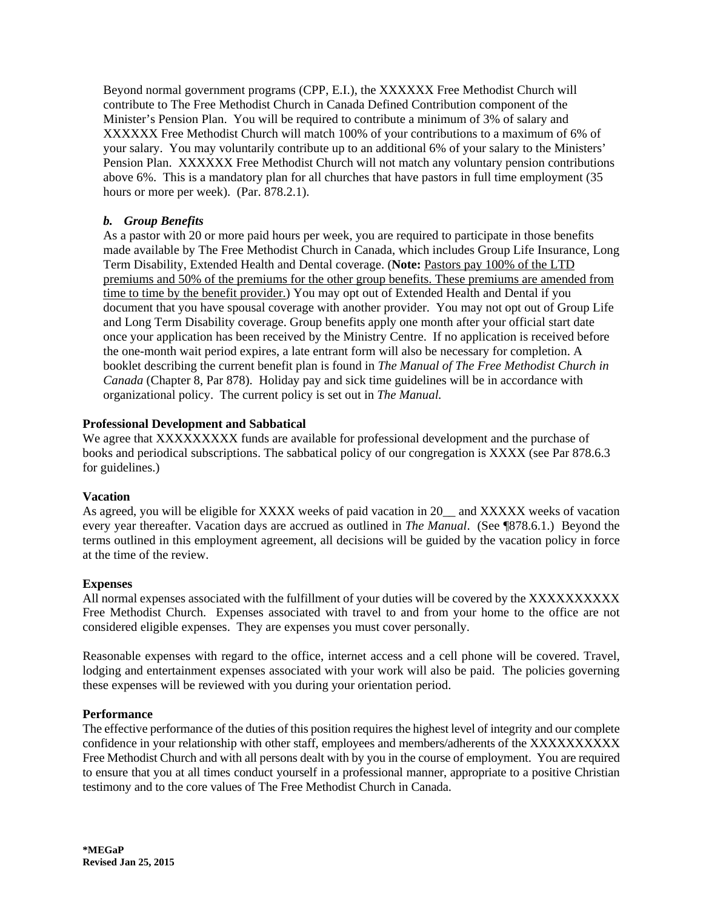Beyond normal government programs (CPP, E.I.), the XXXXXX Free Methodist Church will contribute to The Free Methodist Church in Canada Defined Contribution component of the Minister's Pension Plan. You will be required to contribute a minimum of 3% of salary and XXXXXX Free Methodist Church will match 100% of your contributions to a maximum of 6% of your salary. You may voluntarily contribute up to an additional 6% of your salary to the Ministers' Pension Plan. XXXXXX Free Methodist Church will not match any voluntary pension contributions above 6%. This is a mandatory plan for all churches that have pastors in full time employment (35 hours or more per week). (Par. 878.2.1).

# *b. Group Benefits*

As a pastor with 20 or more paid hours per week, you are required to participate in those benefits made available by The Free Methodist Church in Canada, which includes Group Life Insurance, Long Term Disability, Extended Health and Dental coverage. (**Note:** Pastors pay 100% of the LTD premiums and 50% of the premiums for the other group benefits. These premiums are amended from time to time by the benefit provider.) You may opt out of Extended Health and Dental if you document that you have spousal coverage with another provider. You may not opt out of Group Life and Long Term Disability coverage. Group benefits apply one month after your official start date once your application has been received by the Ministry Centre. If no application is received before the one-month wait period expires, a late entrant form will also be necessary for completion. A booklet describing the current benefit plan is found in *The Manual of The Free Methodist Church in Canada* (Chapter 8, Par 878). Holiday pay and sick time guidelines will be in accordance with organizational policy. The current policy is set out in *The Manual.*

## **Professional Development and Sabbatical**

We agree that XXXXXXXXX funds are available for professional development and the purchase of books and periodical subscriptions. The sabbatical policy of our congregation is XXXX (see Par 878.6.3 for guidelines.)

## **Vacation**

As agreed, you will be eligible for XXXX weeks of paid vacation in 20\_\_ and XXXXX weeks of vacation every year thereafter. Vacation days are accrued as outlined in *The Manual*. (See ¶878.6.1.) Beyond the terms outlined in this employment agreement, all decisions will be guided by the vacation policy in force at the time of the review.

## **Expenses**

All normal expenses associated with the fulfillment of your duties will be covered by the XXXXXXXXXX Free Methodist Church. Expenses associated with travel to and from your home to the office are not considered eligible expenses. They are expenses you must cover personally.

Reasonable expenses with regard to the office, internet access and a cell phone will be covered. Travel, lodging and entertainment expenses associated with your work will also be paid. The policies governing these expenses will be reviewed with you during your orientation period.

## **Performance**

The effective performance of the duties of this position requires the highest level of integrity and our complete confidence in your relationship with other staff, employees and members/adherents of the XXXXXXXXXX Free Methodist Church and with all persons dealt with by you in the course of employment. You are required to ensure that you at all times conduct yourself in a professional manner, appropriate to a positive Christian testimony and to the core values of The Free Methodist Church in Canada.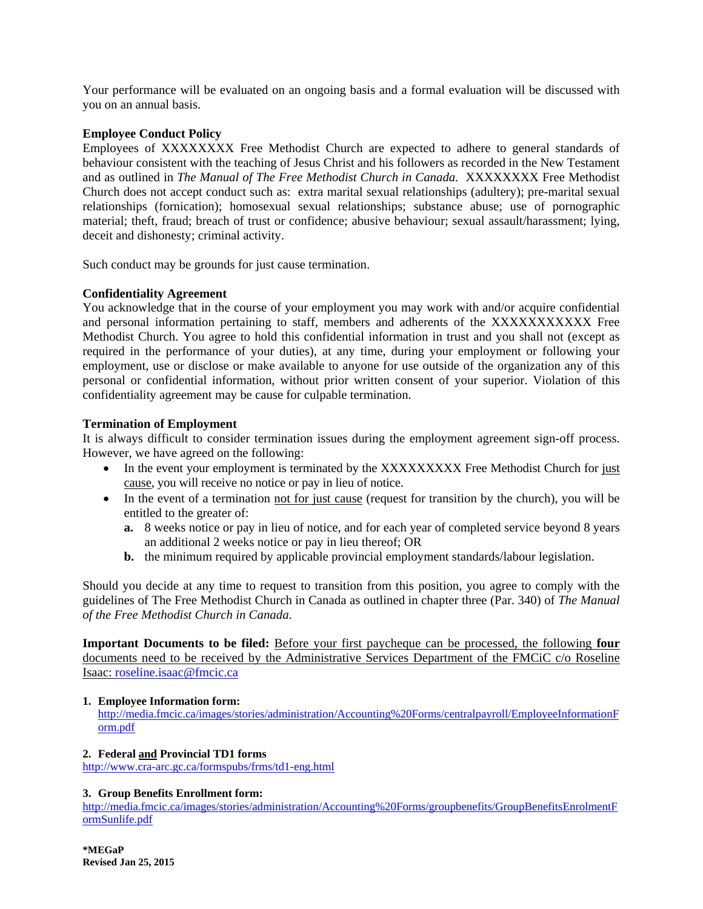Your performance will be evaluated on an ongoing basis and a formal evaluation will be discussed with you on an annual basis.

#### **Employee Conduct Policy**

Employees of XXXXXXXX Free Methodist Church are expected to adhere to general standards of behaviour consistent with the teaching of Jesus Christ and his followers as recorded in the New Testament and as outlined in *The Manual of The Free Methodist Church in Canada.* XXXXXXXX Free Methodist Church does not accept conduct such as: extra marital sexual relationships (adultery); pre-marital sexual relationships (fornication); homosexual sexual relationships; substance abuse; use of pornographic material; theft, fraud; breach of trust or confidence; abusive behaviour; sexual assault/harassment; lying, deceit and dishonesty; criminal activity.

Such conduct may be grounds for just cause termination.

## **Confidentiality Agreement**

You acknowledge that in the course of your employment you may work with and/or acquire confidential and personal information pertaining to staff, members and adherents of the XXXXXXXXXXX Free Methodist Church. You agree to hold this confidential information in trust and you shall not (except as required in the performance of your duties), at any time, during your employment or following your employment, use or disclose or make available to anyone for use outside of the organization any of this personal or confidential information, without prior written consent of your superior. Violation of this confidentiality agreement may be cause for culpable termination.

#### **Termination of Employment**

It is always difficult to consider termination issues during the employment agreement sign-off process. However, we have agreed on the following:

- In the event your employment is terminated by the XXXXXXXXX Free Methodist Church for just cause, you will receive no notice or pay in lieu of notice.
- In the event of a termination not for just cause (request for transition by the church), you will be entitled to the greater of:
	- **a.** 8 weeks notice or pay in lieu of notice, and for each year of completed service beyond 8 years an additional 2 weeks notice or pay in lieu thereof; OR
	- **b.** the minimum required by applicable provincial employment standards/labour legislation.

Should you decide at any time to request to transition from this position, you agree to comply with the guidelines of The Free Methodist Church in Canada as outlined in chapter three (Par. 340) of *The Manual of the Free Methodist Church in Canada*.

**Important Documents to be filed:** Before your first paycheque can be processed, the following **four** documents need to be received by the Administrative Services Department of the FMCiC c/o Roseline Isaac: roseline.isaac@fmcic.ca

#### **1. Employee Information form:**

http://media.fmcic.ca/images/stories/administration/Accounting%20Forms/centralpayroll/EmployeeInformationF orm.pdf

#### **2. Federal and Provincial TD1 forms**

http://www.cra-arc.gc.ca/formspubs/frms/td1-eng.html

#### **3. Group Benefits Enrollment form:**

http://media.fmcic.ca/images/stories/administration/Accounting%20Forms/groupbenefits/GroupBenefitsEnrolmentF ormSunlife.pdf

**\*MEGaP Revised Jan 25, 2015**